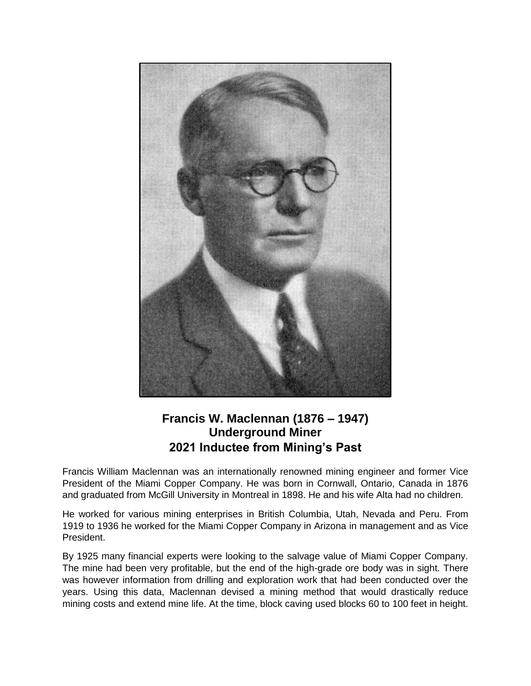

## **Francis W. Maclennan (1876 – 1947) Underground Miner 2021 Inductee from Mining's Past**

Francis William Maclennan was an internationally renowned mining engineer and former Vice President of the Miami Copper Company. He was born in Cornwall, Ontario, Canada in 1876 and graduated from McGill University in Montreal in 1898. He and his wife Alta had no children.

He worked for various mining enterprises in British Columbia, Utah, Nevada and Peru. From 1919 to 1936 he worked for the Miami Copper Company in Arizona in management and as Vice President.

By 1925 many financial experts were looking to the salvage value of Miami Copper Company. The mine had been very profitable, but the end of the high-grade ore body was in sight. There was however information from drilling and exploration work that had been conducted over the years. Using this data, Maclennan devised a mining method that would drastically reduce mining costs and extend mine life. At the time, block caving used blocks 60 to 100 feet in height.